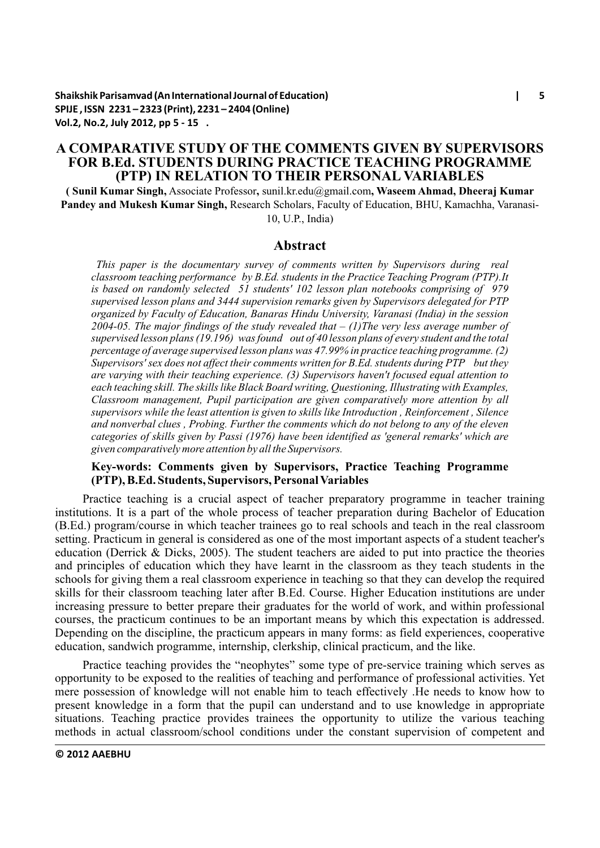# **A COMPARATIVE STUDY OF THE COMMENTS GIVEN BY SUPERVISORS FOR B.Ed. STUDENTS DURING PRACTICE TEACHING PROGRAMME (PTP) IN RELATION TO THEIR PERSONAL VARIABLES**

**( Sunil Kumar Singh,** Associate Professor**,** sunil.kr.edu@gmail.com**, Waseem Ahmad, Dheeraj Kumar Pandey and Mukesh Kumar Singh,** Research Scholars, Faculty of Education, BHU, Kamachha, Varanasi-10, U.P., India)

### **Abstract**

*This paper is the documentary survey of comments written by Supervisors during real classroom teaching performance by B.Ed. students in the Practice Teaching Program (PTP).It is based on randomly selected 51 students' 102 lesson plan notebooks comprising of 979 supervised lesson plans and 3444 supervision remarks given by Supervisors delegated for PTP organized by Faculty of Education, Banaras Hindu University, Varanasi (India) in the session 2004-05. The major findings of the study revealed that – (1)The very less average number of supervised lesson plans (19.196) was found out of 40 lesson plans of every student and the total percentage of average supervised lesson plans was 47.99% in practice teaching programme. (2) Supervisors' sex does not affect their comments written for B.Ed. students during PTP but they are varying with their teaching experience. (3) Supervisors haven't focused equal attention to each teaching skill. The skills like Black Board writing, Questioning, Illustrating with Examples, Classroom management, Pupil participation are given comparatively more attention by all supervisors while the least attention is given to skills like Introduction , Reinforcement , Silence and nonverbal clues , Probing. Further the comments which do not belong to any of the eleven categories of skills given by Passi (1976) have been identified as 'general remarks' which are given comparatively more attention by all the Supervisors.*

## **Key-words: Comments given by Supervisors, Practice Teaching Programme (PTP), B.Ed. Students, Supervisors, Personal Variables**

Practice teaching is a crucial aspect of teacher preparatory programme in teacher training institutions. It is a part of the whole process of teacher preparation during Bachelor of Education (B.Ed.) program/course in which teacher trainees go to real schools and teach in the real classroom setting. Practicum in general is considered as one of the most important aspects of a student teacher's education (Derrick & Dicks, 2005). The student teachers are aided to put into practice the theories and principles of education which they have learnt in the classroom as they teach students in the schools for giving them a real classroom experience in teaching so that they can develop the required skills for their classroom teaching later after B.Ed. Course. Higher Education institutions are under increasing pressure to better prepare their graduates for the world of work, and within professional courses, the practicum continues to be an important means by which this expectation is addressed. Depending on the discipline, the practicum appears in many forms: as field experiences, cooperative education, sandwich programme, internship, clerkship, clinical practicum, and the like.

Practice teaching provides the "neophytes" some type of pre-service training which serves as opportunity to be exposed to the realities of teaching and performance of professional activities. Yet mere possession of knowledge will not enable him to teach effectively .He needs to know how to present knowledge in a form that the pupil can understand and to use knowledge in appropriate situations. Teaching practice provides trainees the opportunity to utilize the various teaching methods in actual classroom/school conditions under the constant supervision of competent and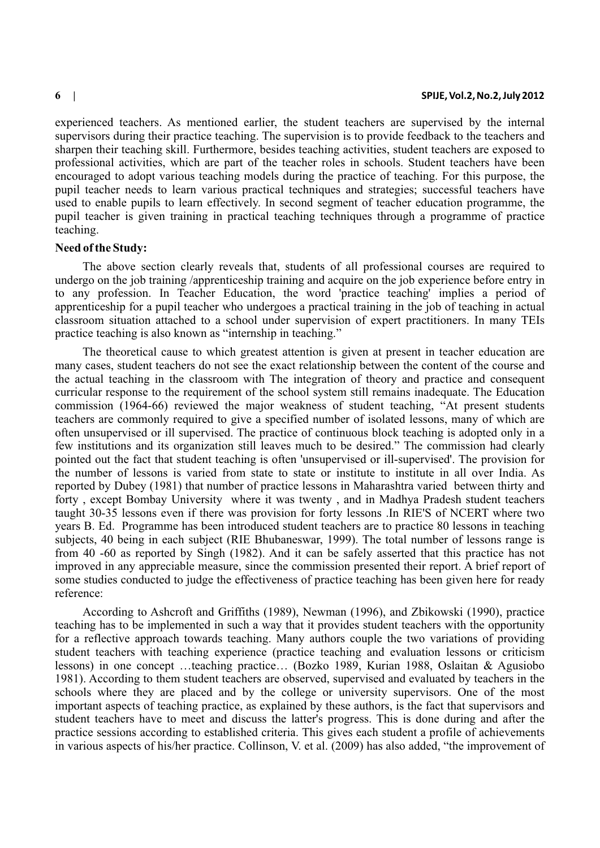experienced teachers. As mentioned earlier, the student teachers are supervised by the internal supervisors during their practice teaching. The supervision is to provide feedback to the teachers and sharpen their teaching skill. Furthermore, besides teaching activities, student teachers are exposed to professional activities, which are part of the teacher roles in schools. Student teachers have been encouraged to adopt various teaching models during the practice of teaching. For this purpose, the pupil teacher needs to learn various practical techniques and strategies; successful teachers have used to enable pupils to learn effectively. In second segment of teacher education programme, the pupil teacher is given training in practical teaching techniques through a programme of practice teaching.

### **Need of the Study:**

The above section clearly reveals that, students of all professional courses are required to undergo on the job training /apprenticeship training and acquire on the job experience before entry in to any profession. In Teacher Education, the word 'practice teaching' implies a period of apprenticeship for a pupil teacher who undergoes a practical training in the job of teaching in actual classroom situation attached to a school under supervision of expert practitioners. In many TEIs practice teaching is also known as "internship in teaching."

The theoretical cause to which greatest attention is given at present in teacher education are many cases, student teachers do not see the exact relationship between the content of the course and the actual teaching in the classroom with The integration of theory and practice and consequent curricular response to the requirement of the school system still remains inadequate. The Education commission (1964-66) reviewed the major weakness of student teaching, "At present students teachers are commonly required to give a specified number of isolated lessons, many of which are often unsupervised or ill supervised. The practice of continuous block teaching is adopted only in a few institutions and its organization still leaves much to be desired." The commission had clearly pointed out the fact that student teaching is often 'unsupervised or ill-supervised'. The provision for the number of lessons is varied from state to state or institute to institute in all over India. As reported by Dubey (1981) that number of practice lessons in Maharashtra varied between thirty and forty , except Bombay University where it was twenty , and in Madhya Pradesh student teachers taught 30-35 lessons even if there was provision for forty lessons .In RIE'S of NCERT where two years B. Ed. Programme has been introduced student teachers are to practice 80 lessons in teaching subjects, 40 being in each subject (RIE Bhubaneswar, 1999). The total number of lessons range is from 40 -60 as reported by Singh (1982). And it can be safely asserted that this practice has not improved in any appreciable measure, since the commission presented their report. A brief report of some studies conducted to judge the effectiveness of practice teaching has been given here for ready reference:

According to Ashcroft and Griffiths (1989), Newman (1996), and Zbikowski (1990), practice teaching has to be implemented in such a way that it provides student teachers with the opportunity for a reflective approach towards teaching. Many authors couple the two variations of providing student teachers with teaching experience (practice teaching and evaluation lessons or criticism lessons) in one concept …teaching practice… (Bozko 1989, Kurian 1988, Oslaitan & Agusiobo 1981). According to them student teachers are observed, supervised and evaluated by teachers in the schools where they are placed and by the college or university supervisors. One of the most important aspects of teaching practice, as explained by these authors, is the fact that supervisors and student teachers have to meet and discuss the latter's progress. This is done during and after the practice sessions according to established criteria. This gives each student a profile of achievements in various aspects of his/her practice. Collinson, V. et al. (2009) has also added, "the improvement of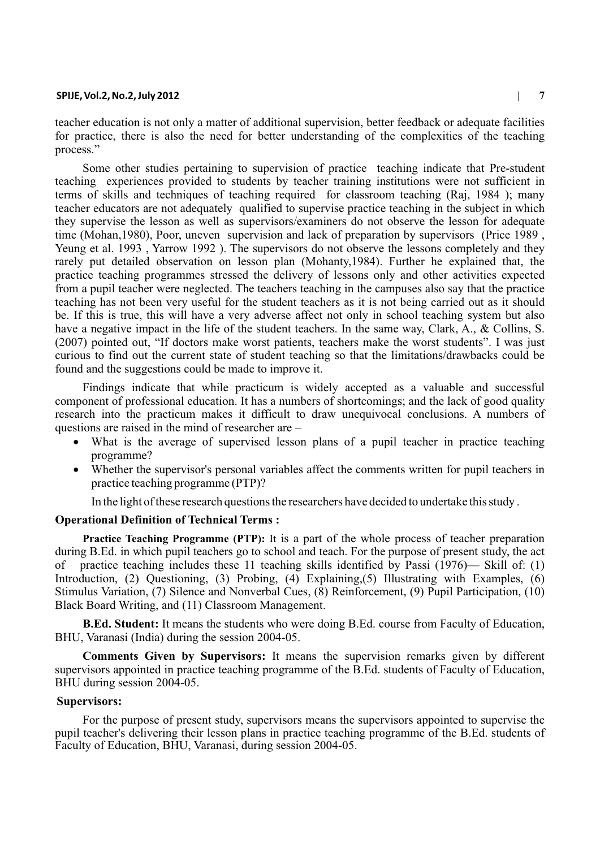teacher education is not only a matter of additional supervision, better feedback or adequate facilities for practice, there is also the need for better understanding of the complexities of the teaching process."

Some other studies pertaining to supervision of practice teaching indicate that Pre-student teaching experiences provided to students by teacher training institutions were not sufficient in terms of skills and techniques of teaching required for classroom teaching (Raj, 1984 ); many teacher educators are not adequately qualified to supervise practice teaching in the subject in which they supervise the lesson as well as supervisors/examiners do not observe the lesson for adequate time (Mohan,1980), Poor, uneven supervision and lack of preparation by supervisors (Price 1989 , Yeung et al. 1993 , Yarrow 1992 ). The supervisors do not observe the lessons completely and they rarely put detailed observation on lesson plan (Mohanty,1984). Further he explained that, the practice teaching programmes stressed the delivery of lessons only and other activities expected from a pupil teacher were neglected. The teachers teaching in the campuses also say that the practice teaching has not been very useful for the student teachers as it is not being carried out as it should be. If this is true, this will have a very adverse affect not only in school teaching system but also have a negative impact in the life of the student teachers. In the same way, Clark, A., & Collins, S. (2007) pointed out, "If doctors make worst patients, teachers make the worst students". I was just curious to find out the current state of student teaching so that the limitations/drawbacks could be found and the suggestions could be made to improve it.

Findings indicate that while practicum is widely accepted as a valuable and successful component of professional education. It has a numbers of shortcomings; and the lack of good quality research into the practicum makes it difficult to draw unequivocal conclusions. A numbers of questions are raised in the mind of researcher are –

What is the average of supervised lesson plans of a pupil teacher in practice teaching programme?

Whether the supervisor's personal variables affect the comments written for pupil teachers in practice teaching programme (PTP)?

In the light of these research questions the researchers have decided to undertake this study .

### **Operational Definition of Technical Terms :**

**Practice Teaching Programme (PTP):** It is a part of the whole process of teacher preparation during B.Ed. in which pupil teachers go to school and teach. For the purpose of present study, the act of practice teaching includes these 11 teaching skills identified by Passi (1976)— Skill of: (1) Introduction, (2) Questioning, (3) Probing, (4) Explaining, (5) Illustrating with Examples, (6) Stimulus Variation, (7) Silence and Nonverbal Cues, (8) Reinforcement, (9) Pupil Participation, (10) Black Board Writing, and (11) Classroom Management.

**B.Ed. Student:** It means the students who were doing B.Ed. course from Faculty of Education, BHU, Varanasi (India) during the session 2004-05.

**Comments Given by Supervisors:** It means the supervision remarks given by different supervisors appointed in practice teaching programme of the B.Ed. students of Faculty of Education, BHU during session 2004-05.

### **Supervisors:**

For the purpose of present study, supervisors means the supervisors appointed to supervise the pupil teacher's delivering their lesson plans in practice teaching programme of the B.Ed. students of Faculty of Education, BHU, Varanasi, during session 2004-05.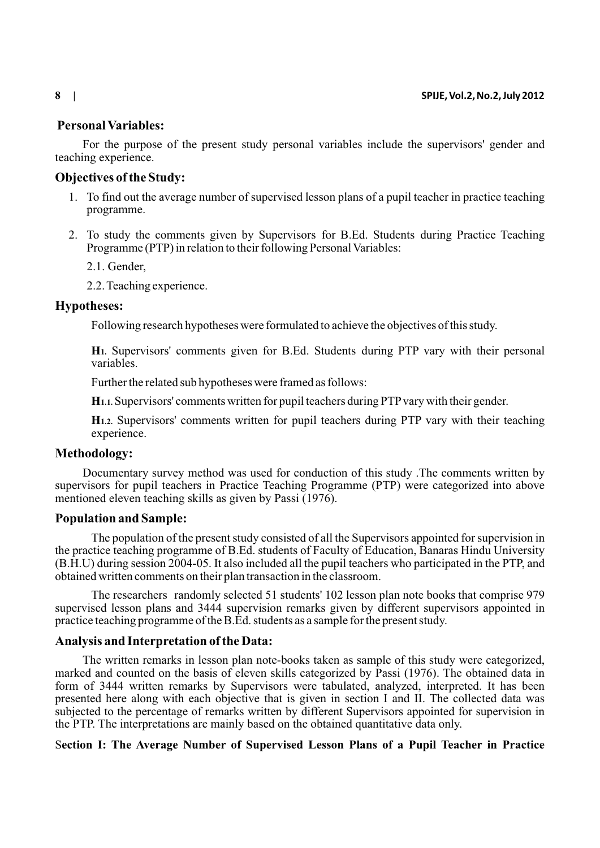## **Personal Variables:**

For the purpose of the present study personal variables include the supervisors' gender and teaching experience.

### **Objectives of the Study:**

- 1. To find out the average number of supervised lesson plans of a pupil teacher in practice teaching programme.
- 2. To study the comments given by Supervisors for B.Ed. Students during Practice Teaching Programme (PTP) in relation to their following Personal Variables:
	- 2.1. Gender,
	- 2.2. Teaching experience.

### **Hypotheses:**

Following research hypotheses were formulated to achieve the objectives of this study.

**H1.** Supervisors' comments given for B.Ed. Students during PTP vary with their personal variables.

Further the related sub hypotheses were framed as follows:

**H1.1.** Supervisors' comments written for pupil teachers during PTPvary with their gender.

**H1.2.** Supervisors' comments written for pupil teachers during PTP vary with their teaching experience.

### **Methodology:**

Documentary survey method was used for conduction of this study .The comments written by supervisors for pupil teachers in Practice Teaching Programme (PTP) were categorized into above mentioned eleven teaching skills as given by Passi (1976).

### **Population and Sample:**

The population of the present study consisted of all the Supervisors appointed for supervision in the practice teaching programme of B.Ed. students of Faculty of Education, Banaras Hindu University (B.H.U) during session 2004-05. It also included all the pupil teachers who participated in the PTP, and obtained written comments on their plan transaction in the classroom.

The researchers randomly selected 51 students' 102 lesson plan note books that comprise 979 supervised lesson plans and 3444 supervision remarks given by different supervisors appointed in practice teaching programme of the B.Ed. students as a sample for the present study.

### **Analysis and Interpretation of the Data:**

The written remarks in lesson plan note-books taken as sample of this study were categorized, marked and counted on the basis of eleven skills categorized by Passi (1976). The obtained data in form of 3444 written remarks by Supervisors were tabulated, analyzed, interpreted. It has been presented here along with each objective that is given in section I and II. The collected data was subjected to the percentage of remarks written by different Supervisors appointed for supervision in the PTP. The interpretations are mainly based on the obtained quantitative data only.

# S**ection I: The Average Number of Supervised Lesson Plans of a Pupil Teacher in Practice**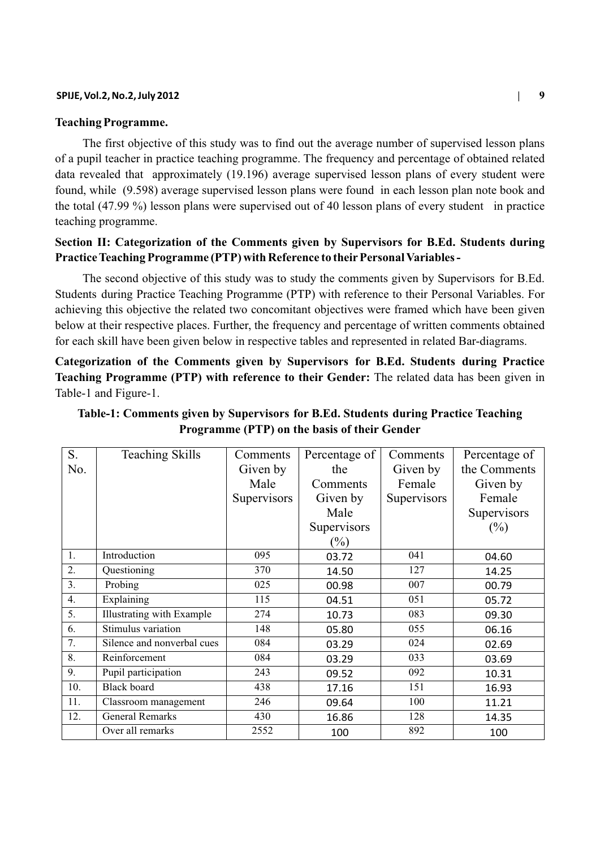### **Teaching Programme.**

The first objective of this study was to find out the average number of supervised lesson plans of a pupil teacher in practice teaching programme. The frequency and percentage of obtained related data revealed that approximately (19.196) average supervised lesson plans of every student were found, while (9.598) average supervised lesson plans were found in each lesson plan note book and the total (47.99 %) lesson plans were supervised out of 40 lesson plans of every student in practice teaching programme.

# **Section II: Categorization of the Comments given by Supervisors for B.Ed. Students during**  Practice Teaching Programme (PTP) with Reference to their Personal Variables -

The second objective of this study was to study the comments given by Supervisors for B.Ed. Students during Practice Teaching Programme (PTP) with reference to their Personal Variables. For achieving this objective the related two concomitant objectives were framed which have been given below at their respective places. Further, the frequency and percentage of written comments obtained for each skill have been given below in respective tables and represented in related Bar-diagrams.

**Categorization of the Comments given by Supervisors for B.Ed. Students during Practice Teaching Programme (PTP) with reference to their Gender:** The related data has been given in Table-1 and Figure-1.

| S.  | <b>Teaching Skills</b>     | Comments    | Percentage of | Comments    | Percentage of |
|-----|----------------------------|-------------|---------------|-------------|---------------|
| No. |                            | Given by    | the           | Given by    | the Comments  |
|     |                            | Male        | Comments      | Female      | Given by      |
|     |                            | Supervisors | Given by      | Supervisors | Female        |
|     |                            |             | Male          |             | Supervisors   |
|     |                            |             | Supervisors   |             | $(\%)$        |
|     |                            |             | $(\%)$        |             |               |
| 1.  | Introduction               | 095         | 03.72         | 041         | 04.60         |
| 2.  | Questioning                | 370         | 14.50         | 127         | 14.25         |
| 3.  | Probing                    | 025         | 00.98         | 007         | 00.79         |
| 4.  | Explaining                 | 115         | 04.51         | 051         | 05.72         |
| 5.  | Illustrating with Example  | 274         | 10.73         | 083         | 09.30         |
| 6.  | Stimulus variation         | 148         | 05.80         | 055         | 06.16         |
| 7.  | Silence and nonverbal cues | 084         | 03.29         | 024         | 02.69         |
| 8.  | Reinforcement              | 084         | 03.29         | 033         | 03.69         |
| 9.  | Pupil participation        | 243         | 09.52         | 092         | 10.31         |
| 10. | <b>Black board</b>         | 438         | 17.16         | 151         | 16.93         |
| 11. | Classroom management       | 246         | 09.64         | 100         | 11.21         |
| 12. | <b>General Remarks</b>     | 430         | 16.86         | 128         | 14.35         |
|     | Over all remarks           | 2552        | 100           | 892         | 100           |

**Table-1: Comments given by Supervisors for B.Ed. Students during Practice Teaching Programme (PTP) on the basis of their Gender**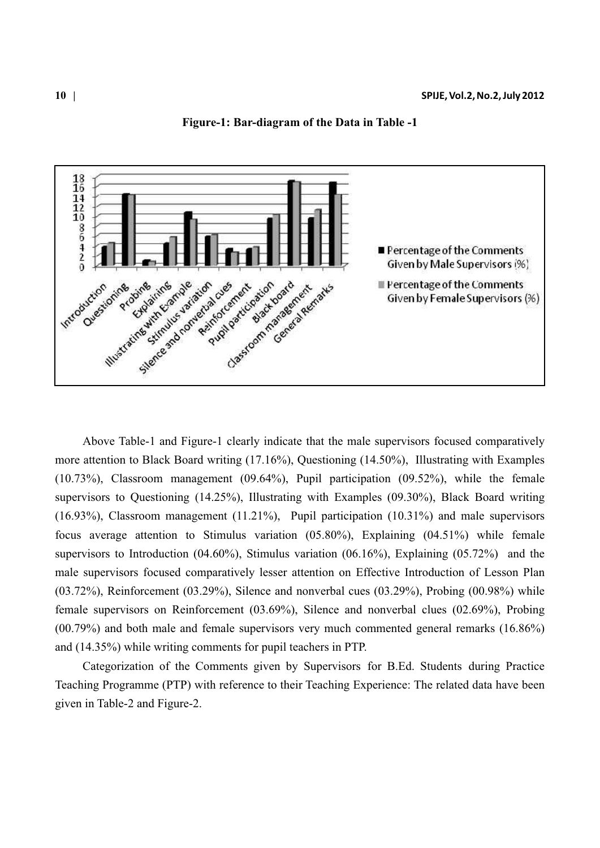

**Figure-1: Bar-diagram of the Data in Table -1**

Above Table-1 and Figure-1 clearly indicate that the male supervisors focused comparatively more attention to Black Board writing (17.16%), Questioning (14.50%), Illustrating with Examples (10.73%), Classroom management (09.64%), Pupil participation (09.52%), while the female supervisors to Questioning (14.25%), Illustrating with Examples (09.30%), Black Board writing (16.93%), Classroom management (11.21%), Pupil participation (10.31%) and male supervisors focus average attention to Stimulus variation (05.80%), Explaining (04.51%) while female supervisors to Introduction (04.60%), Stimulus variation (06.16%), Explaining (05.72%) and the male supervisors focused comparatively lesser attention on Effective Introduction of Lesson Plan  $(03.72\%)$ , Reinforcement  $(03.29\%)$ , Silence and nonverbal cues  $(03.29\%)$ , Probing  $(00.98\%)$  while female supervisors on Reinforcement (03.69%), Silence and nonverbal clues (02.69%), Probing (00.79%) and both male and female supervisors very much commented general remarks (16.86%) and (14.35%) while writing comments for pupil teachers in PTP.

Categorization of the Comments given by Supervisors for B.Ed. Students during Practice Teaching Programme (PTP) with reference to their Teaching Experience: The related data have been given in Table-2 and Figure-2.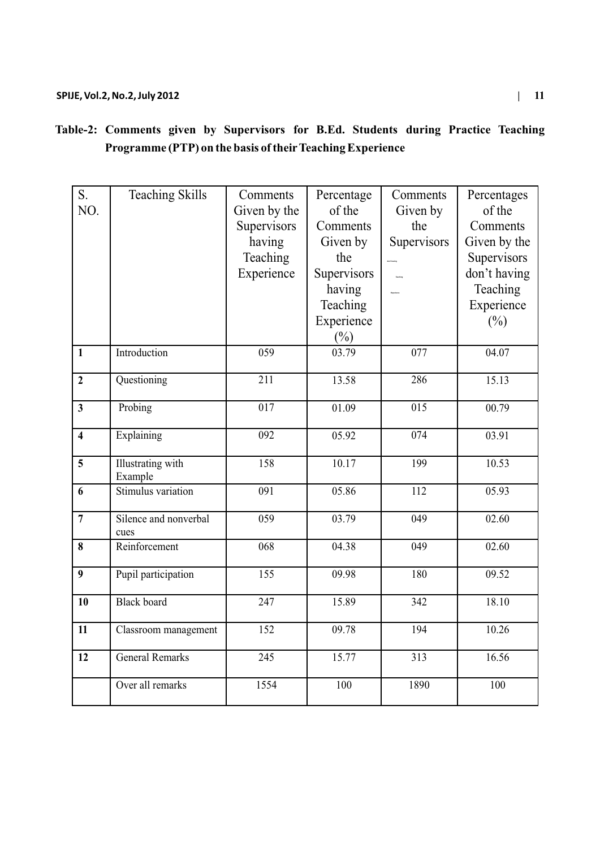|      | nts during Practice Teach |  |  |
|------|---------------------------|--|--|
| ence |                           |  |  |
|      |                           |  |  |
|      | Comments Percentages      |  |  |

| S.                      | <b>Teaching Skills</b>   | Comments         | Percentage  | Comments         | Percentages  |
|-------------------------|--------------------------|------------------|-------------|------------------|--------------|
| NO.                     |                          | Given by the     | of the      | Given by         | of the       |
|                         |                          | Supervisors      | Comments    | the              | Comments     |
|                         |                          | having           | Given by    | Supervisors      | Given by the |
|                         |                          | Teaching         | the         | .<br>Ann Thanks  | Supervisors  |
|                         |                          | Experience       | Supervisors |                  | don't having |
|                         |                          |                  | having      |                  | Teaching     |
|                         |                          |                  | Teaching    |                  | Experience   |
|                         |                          |                  | Experience  |                  | $(\%)$       |
|                         |                          |                  | $(\%)$      |                  |              |
| $\mathbf{1}$            | Introduction             | 059              | 03.79       | 077              | 04.07        |
| $\overline{2}$          | Questioning              | $\overline{211}$ | 13.58       | 286              | 15.13        |
|                         |                          |                  |             |                  |              |
| $\overline{\mathbf{3}}$ | Probing                  | $\overline{017}$ | 01.09       | $\overline{015}$ | 00.79        |
| $\overline{\mathbf{4}}$ | Explaining               | 092              | 05.92       | $\overline{074}$ | 03.91        |
|                         |                          |                  |             |                  |              |
| 5                       | <b>Illustrating</b> with | 158              | 10.17       | 199              | 10.53        |
|                         | Example                  |                  |             |                  |              |
| 6                       | Stimulus variation       | 091              | 05.86       | 112              | 05.93        |
| $\overline{7}$          | Silence and nonverbal    | 059              | 03.79       | 049              | 02.60        |
|                         | cues                     |                  |             |                  |              |
| 8                       | Reinforcement            | 068              | 04.38       | 049              | 02.60        |
| $\boldsymbol{9}$        | Pupil participation      | 155              | 09.98       | 180              | 09.52        |
|                         |                          |                  |             |                  |              |
| 10                      | <b>Black</b> board       | 247              | 15.89       | 342              | 18.10        |
| 11                      | Classroom management     | $\overline{152}$ | 09.78       | 194              | 10.26        |
|                         |                          |                  |             |                  |              |
| 12                      | <b>General Remarks</b>   | 245              | 15.77       | 313              | 16.56        |
|                         | Over all remarks         | 1554             | 100         | 1890             | 100          |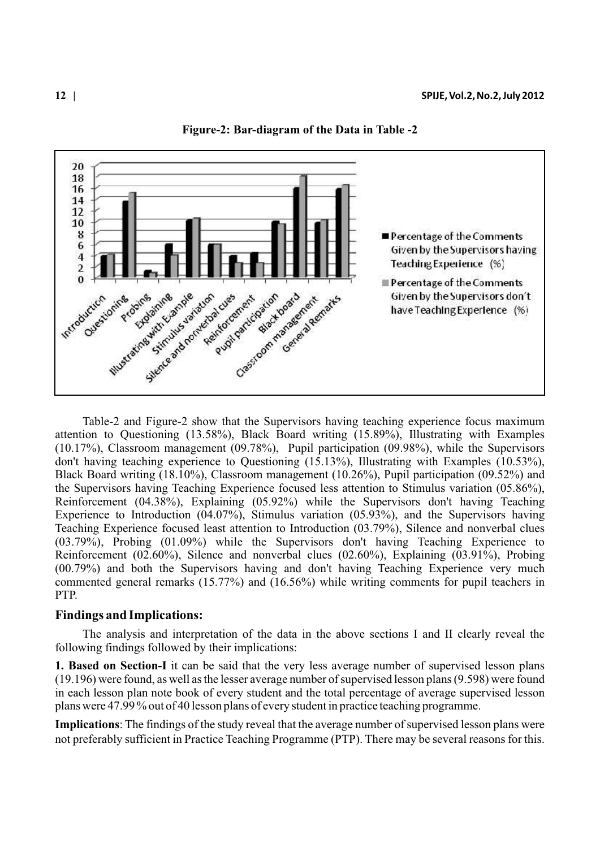

**Figure-2: Bar-diagram of the Data in Table -2**

Table-2 and Figure-2 show that the Supervisors having teaching experience focus maximum attention to Questioning (13.58%), Black Board writing (15.89%), Illustrating with Examples (10.17%), Classroom management (09.78%), Pupil participation (09.98%), while the Supervisors don't having teaching experience to Questioning (15.13%), Illustrating with Examples (10.53%), Black Board writing (18.10%), Classroom management (10.26%), Pupil participation (09.52%) and the Supervisors having Teaching Experience focused less attention to Stimulus variation (05.86%), Reinforcement (04.38%), Explaining (05.92%) while the Supervisors don't having Teaching Experience to Introduction (04.07%), Stimulus variation (05.93%), and the Supervisors having Teaching Experience focused least attention to Introduction (03.79%), Silence and nonverbal clues (03.79%), Probing (01.09%) while the Supervisors don't having Teaching Experience to Reinforcement (02.60%), Silence and nonverbal clues (02.60%), Explaining (03.91%), Probing (00.79%) and both the Supervisors having and don't having Teaching Experience very much commented general remarks (15.77%) and (16.56%) while writing comments for pupil teachers in PTP.

### **Findings and Implications:**

The analysis and interpretation of the data in the above sections I and II clearly reveal the following findings followed by their implications:

**1. Based on Section-I** it can be said that the very less average number of supervised lesson plans (19.196) were found, as well as the lesser average number of supervised lesson plans (9.598) were found in each lesson plan note book of every student and the total percentage of average supervised lesson plans were 47.99 % out of 40 lesson plans of every student in practice teaching programme.

**Implications**: The findings of the study reveal that the average number of supervised lesson plans were not preferably sufficient in Practice Teaching Programme (PTP). There may be several reasons for this.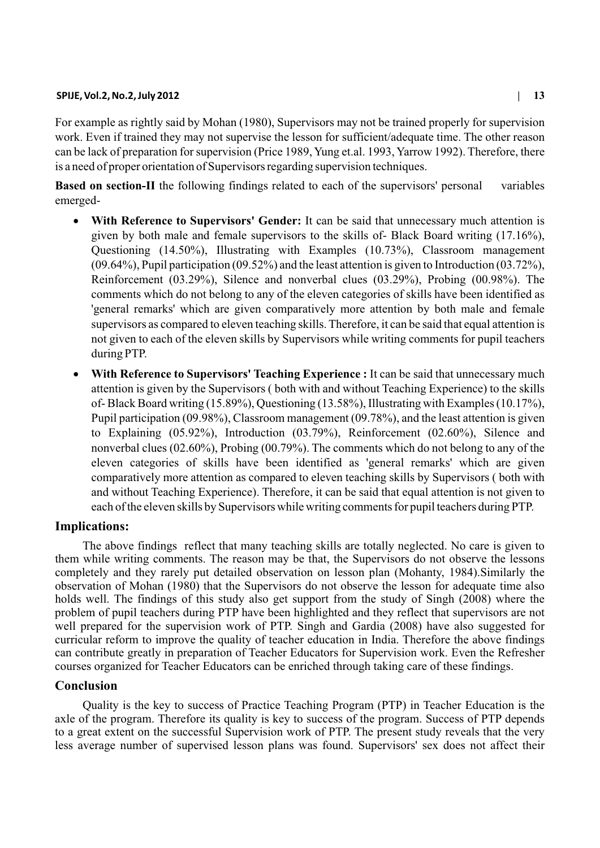For example as rightly said by Mohan (1980), Supervisors may not be trained properly for supervision work. Even if trained they may not supervise the lesson for sufficient/adequate time. The other reason can be lack of preparation for supervision (Price 1989, Yung et.al. 1993, Yarrow 1992). Therefore, there is a need of proper orientation of Supervisors regarding supervision techniques.

**Based on section-II** the following findings related to each of the supervisors' personal variables emerged-

**With Reference to Supervisors' Gender:** It can be said that unnecessary much attention is given by both male and female supervisors to the skills of- Black Board writing (17.16%), Questioning (14.50%), Illustrating with Examples (10.73%), Classroom management (09.64%), Pupil participation (09.52%) and the least attention is given to Introduction (03.72%), Reinforcement (03.29%), Silence and nonverbal clues (03.29%), Probing (00.98%). The comments which do not belong to any of the eleven categories of skills have been identified as 'general remarks' which are given comparatively more attention by both male and female supervisors as compared to eleven teaching skills. Therefore, it can be said that equal attention is not given to each of the eleven skills by Supervisors while writing comments for pupil teachers during PTP.

**With Reference to Supervisors' Teaching Experience :** It can be said that unnecessary much attention is given by the Supervisors ( both with and without Teaching Experience) to the skills of- Black Board writing (15.89%), Questioning (13.58%), Illustrating with Examples (10.17%), Pupil participation (09.98%), Classroom management (09.78%), and the least attention is given to Explaining (05.92%), Introduction (03.79%), Reinforcement (02.60%), Silence and nonverbal clues (02.60%), Probing (00.79%). The comments which do not belong to any of the eleven categories of skills have been identified as 'general remarks' which are given comparatively more attention as compared to eleven teaching skills by Supervisors ( both with and without Teaching Experience). Therefore, it can be said that equal attention is not given to each of the eleven skills by Supervisors while writing comments for pupil teachers during PTP.

### **Implications:**

The above findings reflect that many teaching skills are totally neglected. No care is given to them while writing comments. The reason may be that, the Supervisors do not observe the lessons completely and they rarely put detailed observation on lesson plan (Mohanty, 1984).Similarly the observation of Mohan (1980) that the Supervisors do not observe the lesson for adequate time also holds well. The findings of this study also get support from the study of Singh (2008) where the problem of pupil teachers during PTP have been highlighted and they reflect that supervisors are not well prepared for the supervision work of PTP. Singh and Gardia (2008) have also suggested for curricular reform to improve the quality of teacher education in India. Therefore the above findings can contribute greatly in preparation of Teacher Educators for Supervision work. Even the Refresher courses organized for Teacher Educators can be enriched through taking care of these findings.

# **Conclusion**

Quality is the key to success of Practice Teaching Program (PTP) in Teacher Education is the axle of the program. Therefore its quality is key to success of the program. Success of PTP depends to a great extent on the successful Supervision work of PTP. The present study reveals that the very less average number of supervised lesson plans was found. Supervisors' sex does not affect their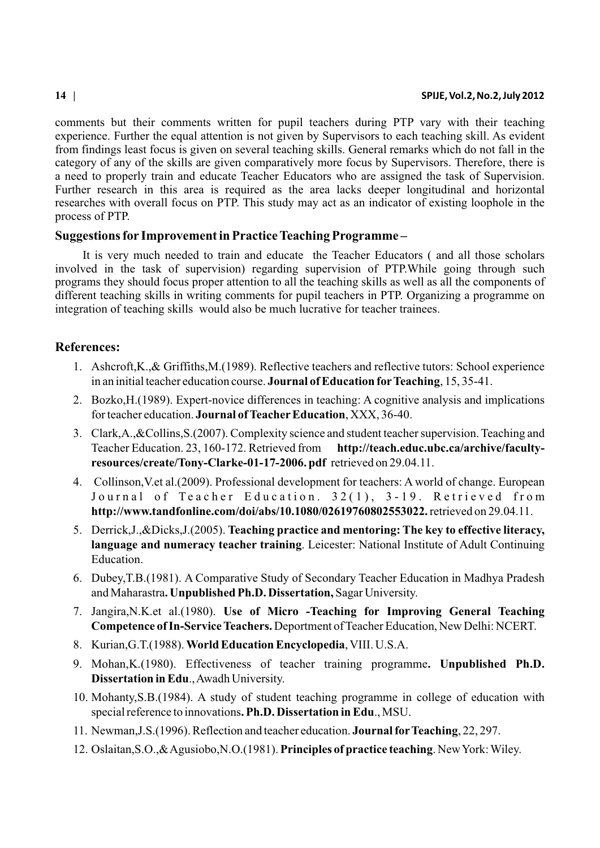comments but their comments written for pupil teachers during PTP vary with their teaching experience. Further the equal attention is not given by Supervisors to each teaching skill. As evident from findings least focus is given on several teaching skills. General remarks which do not fall in the category of any of the skills are given comparatively more focus by Supervisors. Therefore, there is a need to properly train and educate Teacher Educators who are assigned the task of Supervision. Further research in this area is required as the area lacks deeper longitudinal and horizontal researches with overall focus on PTP. This study may act as an indicator of existing loophole in the process of PTP.

## **Suggestions for Improvement in Practice Teaching Programme –**

It is very much needed to train and educate the Teacher Educators ( and all those scholars involved in the task of supervision) regarding supervision of PTP.While going through such programs they should focus proper attention to all the teaching skills as well as all the components of different teaching skills in writing comments for pupil teachers in PTP. Organizing a programme on integration of teaching skills would also be much lucrative for teacher trainees.

# **References:**

- 1. Ashcroft,K.,& Griffiths,M.(1989). Reflective teachers and reflective tutors: School experience in an initial teacher education course. **Journal of Education forTeaching**, 15, 35-41.
- 2. Bozko,H.(1989). Expert-novice differences in teaching: A cognitive analysis and implications for teacher education. **Journal of Teacher Education**, XXX, 36-40.
- 3. Clark,A.,&Collins,S.(2007). Complexity science and student teacher supervision. Teaching and Teacher Education. 23, 160-172. Retrieved from **http://teach.educ.ubc.ca/archive/facultyresources/create/Tony-Clarke-01-17-2006. pdf** retrieved on 29.04.11.
- 4. Collinson,V.et al.(2009). Professional development for teachers: A world of change. European Journal of Teacher Education. 32(1), 3-19. Retrieved from **http://www.tandfonline.com/doi/abs/10.1080/02619760802553022.** retrieved on 29.04.11.
- 5. Derrick,J.,&Dicks,J.(2005). **Teaching practice and mentoring: The key to effective literacy, language and numeracy teacher training**. Leicester: National Institute of Adult Continuing Education.
- 6. Dubey,T.B.(1981). A Comparative Study of Secondary Teacher Education in Madhya Pradesh and Maharastra**. Unpublished Ph.D. Dissertation,** Sagar University.
- 7. Jangira,N.K.et al.(1980). **Use of Micro -Teaching for Improving General Teaching Competence of In-Service Teachers.** Deportment of Teacher Education, New Delhi: NCERT.
- 8. Kurian,G.T.(1988). **World Education Encyclopedia**, VIII. U.S.A.
- 9. Mohan,K.(1980). Effectiveness of teacher training programme**. Unpublished Ph.D. Dissertation in Edu**., Awadh University.
- 10. Mohanty,S.B.(1984). A study of student teaching programme in college of education with special reference to innovations**. Ph.D. Dissertation in Edu**., MSU.
- 11. Newman,J.S.(1996). Reflection and teacher education. **Journal forTeaching**, 22, 297.
- 12. Oslaitan,S.O.,& Agusiobo,N.O.(1981). **Principles of practice teaching**. New York: Wiley.